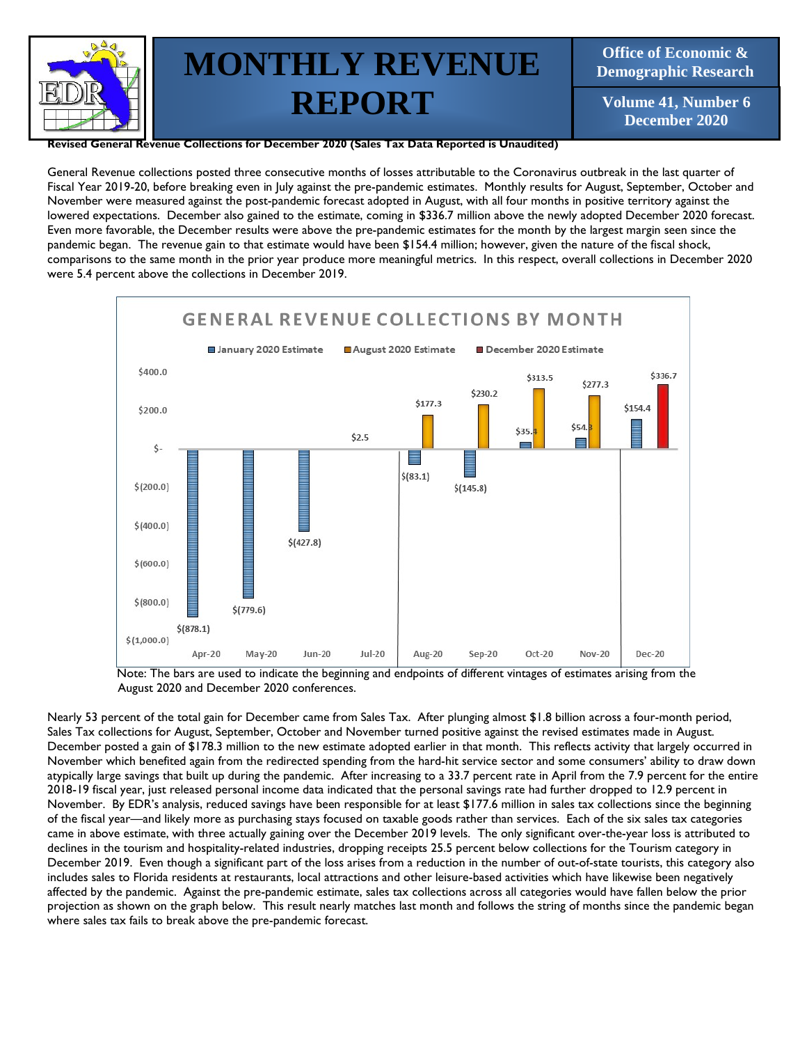

**Revised General Revenue Collections for December 2020 (Sales Tax Data Reported is Unaudited)**

General Revenue collections posted three consecutive months of losses attributable to the Coronavirus outbreak in the last quarter of Fiscal Year 2019-20, before breaking even in July against the pre-pandemic estimates. Monthly results for August, September, October and November were measured against the post-pandemic forecast adopted in August, with all four months in positive territory against the lowered expectations. December also gained to the estimate, coming in \$336.7 million above the newly adopted December 2020 forecast. Even more favorable, the December results were above the pre-pandemic estimates for the month by the largest margin seen since the pandemic began. The revenue gain to that estimate would have been \$154.4 million; however, given the nature of the fiscal shock, comparisons to the same month in the prior year produce more meaningful metrics. In this respect, overall collections in December 2020 were 5.4 percent above the collections in December 2019.



 Note: The bars are used to indicate the beginning and endpoints of different vintages of estimates arising from the August 2020 and December 2020 conferences.

Nearly 53 percent of the total gain for December came from Sales Tax. After plunging almost \$1.8 billion across a four-month period, Sales Tax collections for August, September, October and November turned positive against the revised estimates made in August. December posted a gain of \$178.3 million to the new estimate adopted earlier in that month. This reflects activity that largely occurred in November which benefited again from the redirected spending from the hard-hit service sector and some consumers' ability to draw down atypically large savings that built up during the pandemic. After increasing to a 33.7 percent rate in April from the 7.9 percent for the entire 2018-19 fiscal year, just released personal income data indicated that the personal savings rate had further dropped to 12.9 percent in November. By EDR's analysis, reduced savings have been responsible for at least \$177.6 million in sales tax collections since the beginning of the fiscal year—and likely more as purchasing stays focused on taxable goods rather than services. Each of the six sales tax categories came in above estimate, with three actually gaining over the December 2019 levels. The only significant over-the-year loss is attributed to declines in the tourism and hospitality-related industries, dropping receipts 25.5 percent below collections for the Tourism category in December 2019. Even though a significant part of the loss arises from a reduction in the number of out-of-state tourists, this category also includes sales to Florida residents at restaurants, local attractions and other leisure-based activities which have likewise been negatively affected by the pandemic. Against the pre-pandemic estimate, sales tax collections across all categories would have fallen below the prior projection as shown on the graph below. This result nearly matches last month and follows the string of months since the pandemic began where sales tax fails to break above the pre-pandemic forecast.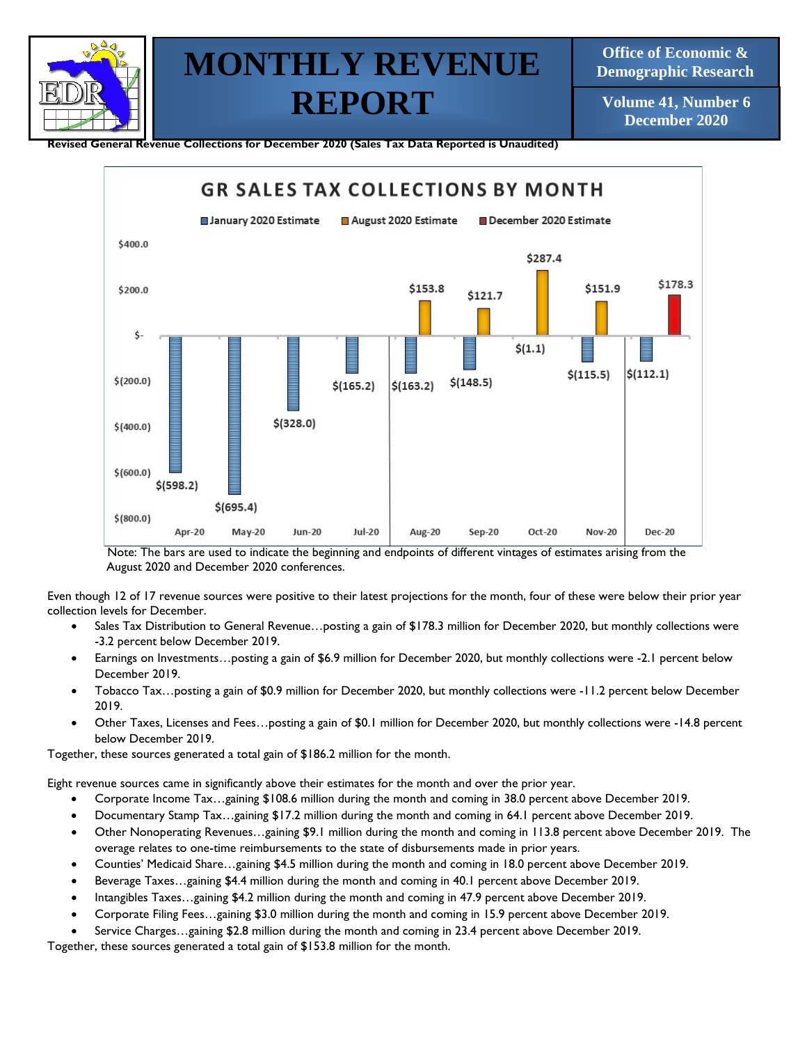

**Revised General Revenue Collections for December 2020 (Sales Tax Data Reported is Unaudited)**



Note: The bars are used to indicate the beginning and endpoints of different vintages of estimates arising from the August 2020 and December 2020 conferences.

Even though 12 of 17 revenue sources were positive to their latest projections for the month, four of these were below their prior year collection levels for December.

- Sales Tax Distribution to General Revenue...posting a gain of \$178.3 million for December 2020, but monthly collections were -3.2 percent below December 2019.
- Earnings on Investments…posting a gain of \$6.9 million for December 2020, but monthly collections were -2.1 percent below December 2019.
- Tobacco Tax…posting a gain of \$0.9 million for December 2020, but monthly collections were -11.2 percent below December 2019.
- Other Taxes, Licenses and Fees…posting a gain of \$0.1 million for December 2020, but monthly collections were -14.8 percent below December 2019.

Together, these sources generated a total gain of \$186.2 million for the month.

Eight revenue sources came in significantly above their estimates for the month and over the prior year.

- Corporate Income Tax…gaining \$108.6 million during the month and coming in 38.0 percent above December 2019.
- Documentary Stamp Tax…gaining \$17.2 million during the month and coming in 64.1 percent above December 2019.
- Other Nonoperating Revenues…gaining \$9.1 million during the month and coming in 113.8 percent above December 2019. The overage relates to one-time reimbursements to the state of disbursements made in prior years.
- Counties' Medicaid Share…gaining \$4.5 million during the month and coming in 18.0 percent above December 2019.
- Beverage Taxes…gaining \$4.4 million during the month and coming in 40.1 percent above December 2019.
- Intangibles Taxes…gaining \$4.2 million during the month and coming in 47.9 percent above December 2019.
- Corporate Filing Fees…gaining \$3.0 million during the month and coming in 15.9 percent above December 2019.
- Service Charges…gaining \$2.8 million during the month and coming in 23.4 percent above December 2019.

Together, these sources generated a total gain of \$153.8 million for the month.